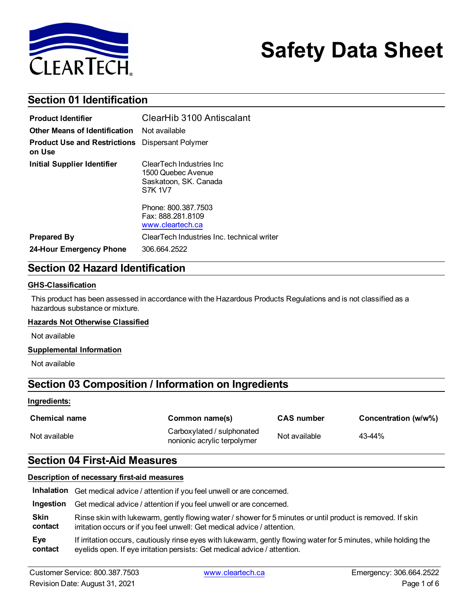

# **Safety Data Sheet**

# **Section 01 Identification**

| <b>Product Identifier</b>                                        | ClearHib 3100 Antiscalant                                                                  |  |
|------------------------------------------------------------------|--------------------------------------------------------------------------------------------|--|
| <b>Other Means of Identification</b>                             | Not available                                                                              |  |
| <b>Product Use and Restrictions</b> Dispersant Polymer<br>on Use |                                                                                            |  |
| <b>Initial Supplier Identifier</b>                               | ClearTech Industries Inc.<br>1500 Quebec Avenue<br>Saskatoon, SK. Canada<br><b>S7K 1V7</b> |  |
|                                                                  | Phone: 800.387.7503<br>Fax: 888.281.8109<br>www.cleartech.ca                               |  |
| <b>Prepared By</b>                                               | ClearTech Industries Inc. technical writer                                                 |  |
| 24-Hour Emergency Phone                                          | 306.664.2522                                                                               |  |

# **Section 02 Hazard Identification**

#### **GHS-Classification**

This product has been assessed in accordance with the Hazardous Products Regulations and is not classified as a hazardous substance or mixture.

#### **Hazards Not Otherwise Classified**

Not available

#### **Supplemental Information**

Not available

## **Section 03 Composition / Information on Ingredients**

#### **Ingredients:**

| <b>Chemical name</b> | Common name(s)                                            | <b>CAS</b> number | Concentration (w/w%) |
|----------------------|-----------------------------------------------------------|-------------------|----------------------|
| Not available        | Carboxylated / sulphonated<br>nonionic acrylic terpolymer | Not available     | 43-44%               |

### **Section 04 First-Aid Measures**

### **Description of necessary first-aid measures**

|           | Inhalation Get medical advice / attention if you feel unwell or are concerned.                                   |
|-----------|------------------------------------------------------------------------------------------------------------------|
| Ingestion | Get medical advice / attention if you feel unwell or are concerned.                                              |
| Skin      | Rinse skin with lukewarm, gently flowing water / shower for 5 minutes or until product is removed. If skin       |
| contact   | irritation occurs or if you feel unwell: Get medical advice / attention.                                         |
| Eye       | If irritation occurs, cautiously rinse eyes with lukewarm, gently flowing water for 5 minutes, while holding the |
| contact   | eyelids open. If eye irritation persists: Get medical advice / attention.                                        |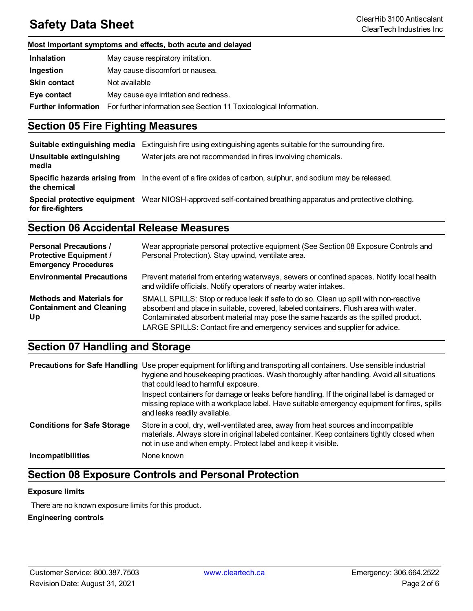# **Safety Data Sheet** ClearHib 3100 Antiscalant ClearHib 3100 Antiscalant ClearHib 3100 Antiscalant ClearHib 3100 Antiscalant

### **Most important symptoms and effects, both acute and delayed**

| <b>Inhalation</b>          | May cause respiratory irritation.                                 |
|----------------------------|-------------------------------------------------------------------|
| Ingestion                  | May cause discomfort or nausea.                                   |
| <b>Skin contact</b>        | Not available                                                     |
| Eye contact                | May cause eye irritation and redness.                             |
| <b>Further information</b> | For further information see Section 11 Toxicological Information. |

### **Section 05 Fire Fighting Measures**

| Suitable extinguishing media      | Extinguish fire using extinguishing agents suitable for the surrounding fire.                                |
|-----------------------------------|--------------------------------------------------------------------------------------------------------------|
| Unsuitable extinguishing<br>media | Water jets are not recommended in fires involving chemicals.                                                 |
| the chemical                      | Specific hazards arising from In the event of a fire oxides of carbon, sulphur, and sodium may be released.  |
| for fire-fighters                 | Special protective equipment Wear NIOSH-approved self-contained breathing apparatus and protective clothing. |

# **Section 06 Accidental Release Measures**

| <b>Personal Precautions /</b><br><b>Protective Equipment /</b><br><b>Emergency Procedures</b> | Wear appropriate personal protective equipment (See Section 08 Exposure Controls and<br>Personal Protection). Stay upwind, ventilate area.                                                                                                                                                                                                      |
|-----------------------------------------------------------------------------------------------|-------------------------------------------------------------------------------------------------------------------------------------------------------------------------------------------------------------------------------------------------------------------------------------------------------------------------------------------------|
| <b>Environmental Precautions</b>                                                              | Prevent material from entering waterways, sewers or confined spaces. Notify local health<br>and wildlife officials. Notify operators of nearby water intakes.                                                                                                                                                                                   |
| <b>Methods and Materials for</b><br><b>Containment and Cleaning</b><br>Up                     | SMALL SPILLS: Stop or reduce leak if safe to do so. Clean up spill with non-reactive<br>absorbent and place in suitable, covered, labeled containers. Flush area with water.<br>Contaminated absorbent material may pose the same hazards as the spilled product.<br>LARGE SPILLS: Contact fire and emergency services and supplier for advice. |

# **Section 07 Handling and Storage**

|                                    | <b>Precautions for Safe Handling</b> Use proper equipment for lifting and transporting all containers. Use sensible industrial<br>hygiene and housekeeping practices. Wash thoroughly after handling. Avoid all situations<br>that could lead to harmful exposure. |
|------------------------------------|--------------------------------------------------------------------------------------------------------------------------------------------------------------------------------------------------------------------------------------------------------------------|
|                                    | Inspect containers for damage or leaks before handling. If the original label is damaged or<br>missing replace with a workplace label. Have suitable emergency equipment for fires, spills<br>and leaks readily available.                                         |
| <b>Conditions for Safe Storage</b> | Store in a cool, dry, well-ventilated area, away from heat sources and incompatible<br>materials. Always store in original labeled container. Keep containers tightly closed when<br>not in use and when empty. Protect label and keep it visible.                 |
| Incompatibilities                  | None known                                                                                                                                                                                                                                                         |

### **Section 08 Exposure Controls and Personal Protection**

### **Exposure limits**

There are no known exposure limits for this product.

### **Engineering controls**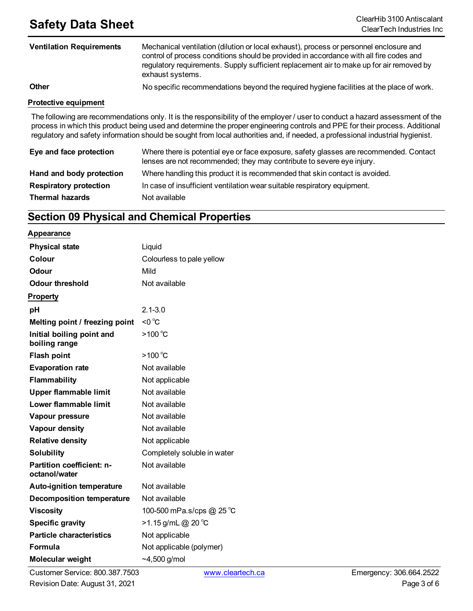# **Safety Data Sheet**<br>ClearHib 3100 Antiscalant

| <b>Ventilation Requirements</b> | Mechanical ventilation (dilution or local exhaust), process or personnel enclosure and<br>control of process conditions should be provided in accordance with all fire codes and<br>regulatory requirements. Supply sufficient replacement air to make up for air removed by<br>exhaust systems.                                                                                                |  |  |
|---------------------------------|-------------------------------------------------------------------------------------------------------------------------------------------------------------------------------------------------------------------------------------------------------------------------------------------------------------------------------------------------------------------------------------------------|--|--|
| <b>Other</b>                    | No specific recommendations beyond the required hygiene facilities at the place of work.                                                                                                                                                                                                                                                                                                        |  |  |
| <b>Protective equipment</b>     |                                                                                                                                                                                                                                                                                                                                                                                                 |  |  |
|                                 | The following are recommendations only. It is the responsibility of the employer / user to conduct a hazard assessment of the<br>process in which this product being used and determine the proper engineering controls and PPE for their process. Additional<br>regulatory and safety information should be sought from local authorities and, if needed, a professional industrial hygienist. |  |  |

| Eye and face protection       | lenses are not recommended; they may contribute to severe eye injury.       | Where there is potential eye or face exposure, safety glasses are recommended. Contact |
|-------------------------------|-----------------------------------------------------------------------------|----------------------------------------------------------------------------------------|
| Hand and body protection      | Where handling this product it is recommended that skin contact is avoided. |                                                                                        |
| <b>Respiratory protection</b> | In case of insufficient ventilation wear suitable respiratory equipment.    |                                                                                        |
| <b>Thermal hazards</b>        | Not available                                                               |                                                                                        |

# **Section 09 Physical and Chemical Properties**

#### **Appearance**

| <b>Physical state</b>                      | Liquid                      |
|--------------------------------------------|-----------------------------|
| Colour                                     | Colourless to pale yellow   |
| Odour                                      | Mild                        |
| <b>Odour threshold</b>                     | Not available               |
| <b>Property</b>                            |                             |
| рH                                         | $2.1 - 3.0$                 |
| Melting point / freezing point             | $<$ 0 $^{\circ}$ C          |
| Initial boiling point and<br>boiling range | $>100^{\circ}$ C            |
| <b>Flash point</b>                         | $>100^{\circ}$ C            |
| <b>Evaporation rate</b>                    | Not available               |
| <b>Flammability</b>                        | Not applicable              |
| <b>Upper flammable limit</b>               | Not available               |
| Lower flammable limit                      | Not available               |
| Vapour pressure                            | Not available               |
| Vapour density                             | Not available               |
| <b>Relative density</b>                    | Not applicable              |
| <b>Solubility</b>                          | Completely soluble in water |
| Partition coefficient: n-<br>octanol/water | Not available               |
| <b>Auto-ignition temperature</b>           | Not available               |
| <b>Decomposition temperature</b>           | Not available               |
| <b>Viscosity</b>                           | 100-500 mPa.s/cps @ 25 °C   |
| <b>Specific gravity</b>                    | >1.15 g/mL @ 20 °C          |
| <b>Particle characteristics</b>            | Not applicable              |
| Formula                                    | Not applicable (polymer)    |
| <b>Molecular weight</b>                    | $-4,500$ g/mol              |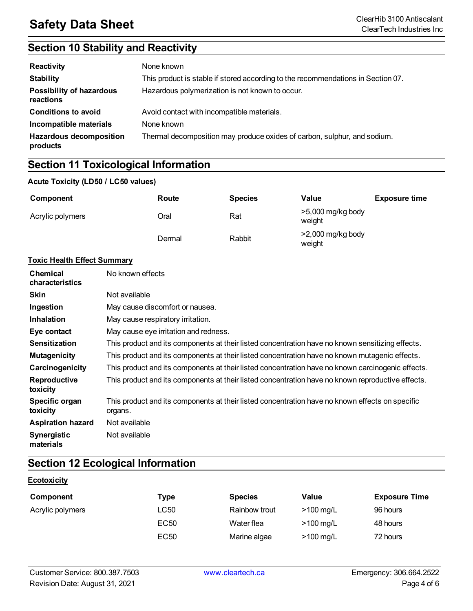# **Section 10 Stability and Reactivity**

| Reactivity                                   | None known                                                                       |
|----------------------------------------------|----------------------------------------------------------------------------------|
| <b>Stability</b>                             | This product is stable if stored according to the recommendations in Section 07. |
| <b>Possibility of hazardous</b><br>reactions | Hazardous polymerization is not known to occur.                                  |
| <b>Conditions to avoid</b>                   | Avoid contact with incompatible materials.                                       |
| Incompatible materials                       | None known                                                                       |
| <b>Hazardous decomposition</b><br>products   | Thermal decomposition may produce oxides of carbon, sulphur, and sodium.         |

# **Section 11 Toxicological Information**

### **Acute Toxicity (LD50 / LC50 values)**

| Component        | Route  | <b>Species</b> | Value                         | <b>Exposure time</b> |
|------------------|--------|----------------|-------------------------------|----------------------|
| Acrylic polymers | Oral   | Rat            | $>5,000$ mg/kg body<br>weight |                      |
|                  | Dermal | Rabbit         | $>2,000$ mg/kg body<br>weight |                      |

### **Toxic Health Effect Summary**

| <b>Chemical</b><br>characteristics | No known effects                                                                                           |
|------------------------------------|------------------------------------------------------------------------------------------------------------|
| <b>Skin</b>                        | Not available                                                                                              |
| Ingestion                          | May cause discomfort or nausea.                                                                            |
| <b>Inhalation</b>                  | May cause respiratory irritation.                                                                          |
| Eye contact                        | May cause eye irritation and redness.                                                                      |
| <b>Sensitization</b>               | This product and its components at their listed concentration have no known sensitizing effects.           |
| <b>Mutagenicity</b>                | This product and its components at their listed concentration have no known mutagenic effects.             |
| Carcinogenicity                    | This product and its components at their listed concentration have no known carcinogenic effects.          |
| Reproductive<br>toxicity           | This product and its components at their listed concentration have no known reproductive effects.          |
| Specific organ<br>toxicity         | This product and its components at their listed concentration have no known effects on specific<br>organs. |
| <b>Aspiration hazard</b>           | Not available                                                                                              |
| <b>Synergistic</b><br>materials    | Not available                                                                                              |

# **Section 12 Ecological Information**

| Component        | Type             | <b>Species</b> | Value       | <b>Exposure Time</b> |
|------------------|------------------|----------------|-------------|----------------------|
| Acrylic polymers | LC50             | Rainbow trout  | $>100$ mg/L | 96 hours             |
|                  | EC <sub>50</sub> | Water flea     | $>100$ mg/L | 48 hours             |
|                  | EC <sub>50</sub> | Marine algae   | $>100$ mg/L | 72 hours             |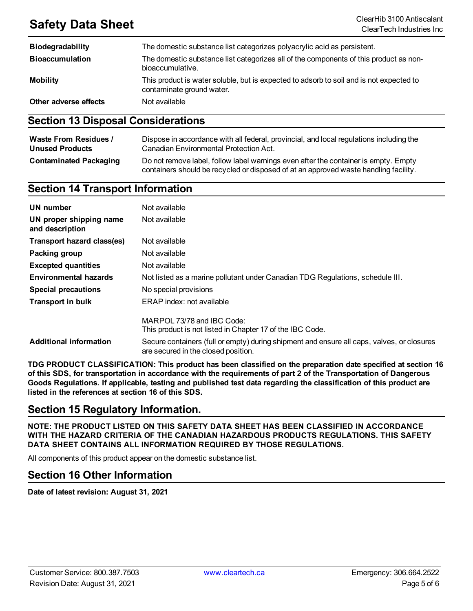# **Safety Data Sheet** ClearHib 3100 Antiscalant

| <b>Biodegradability</b> | The domestic substance list categorizes polyacrylic acid as persistent.                                              |
|-------------------------|----------------------------------------------------------------------------------------------------------------------|
| <b>Bioaccumulation</b>  | The domestic substance list categorizes all of the components of this product as non-<br>bioaccumulative.            |
| <b>Mobility</b>         | This product is water soluble, but is expected to adsorb to soil and is not expected to<br>contaminate ground water. |
| Other adverse effects   | Not available                                                                                                        |

### **Section 13 Disposal Considerations**

| <b>Waste From Residues /</b>  | Dispose in accordance with all federal, provincial, and local regulations including the                                                                                     |
|-------------------------------|-----------------------------------------------------------------------------------------------------------------------------------------------------------------------------|
| <b>Unused Products</b>        | Canadian Environmental Protection Act.                                                                                                                                      |
| <b>Contaminated Packaging</b> | Do not remove label, follow label warnings even after the container is empty. Empty<br>containers should be recycled or disposed of at an approved waste handling facility. |

### **Section 14 Transport Information**

| <b>UN</b> number                           | Not available                                                                                                                     |
|--------------------------------------------|-----------------------------------------------------------------------------------------------------------------------------------|
| UN proper shipping name<br>and description | Not available                                                                                                                     |
| Transport hazard class(es)                 | Not available                                                                                                                     |
| Packing group                              | Not available                                                                                                                     |
| <b>Excepted quantities</b>                 | Not available                                                                                                                     |
| <b>Environmental hazards</b>               | Not listed as a marine pollutant under Canadian TDG Regulations, schedule III.                                                    |
| <b>Special precautions</b>                 | No special provisions                                                                                                             |
| <b>Transport in bulk</b>                   | ERAP index: not available                                                                                                         |
|                                            | MARPOL 73/78 and IBC Code:<br>This product is not listed in Chapter 17 of the IBC Code.                                           |
| <b>Additional information</b>              | Secure containers (full or empty) during shipment and ensure all caps, valves, or closures<br>are secured in the closed position. |

**TDG PRODUCT CLASSIFICATION: This product has been classified on the preparation date specified at section 16** of this SDS, for transportation in accordance with the requirements of part 2 of the Transportation of Dangerous Goods Regulations. If applicable, testing and published test data regarding the classification of this product are **listed in the references at section 16 of this SDS.**

### **Section 15 Regulatory Information.**

**NOTE: THE PRODUCT LISTED ON THIS SAFETY DATA SHEET HAS BEEN CLASSIFIED IN ACCORDANCE WITH THE HAZARD CRITERIA OF THE CANADIAN HAZARDOUS PRODUCTS REGULATIONS. THIS SAFETY DATA SHEET CONTAINS ALL INFORMATION REQUIRED BY THOSE REGULATIONS.**

All components of this product appear on the domestic substance list.

### **Section 16 Other Information**

**Date of latest revision: August 31, 2021**